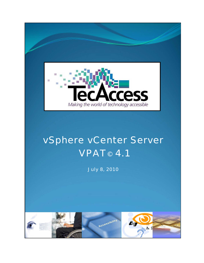

## vSphere vCenter Server **VPAT<sup>®</sup> 4.1**

July 8, 2010

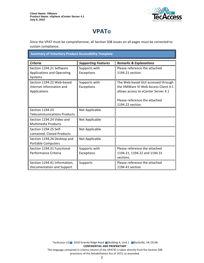

## **VPAT**®

Since the VPAT must be comprehensive, all Section 508 issues on all pages must be corrected to sustain compliance.

**Summary of Voluntary Product Accessibility Template** 

| <b>Criteria</b>                    | <b>Supporting Features</b> | <b>Remarks &amp; Explanations</b>   |
|------------------------------------|----------------------------|-------------------------------------|
| Section 1194.21 Software           | Supports with              | Please reference the attached       |
| <b>Applications and Operating</b>  | Exceptions                 | 1194.21 section.                    |
| Systems                            |                            |                                     |
| Section 1194.22 Web-based          | Supports with              | The Web based GUI accessed through  |
| Internet Information and           | Exceptions                 | the VMWare VI Web Access Client 4.1 |
| Applications                       |                            | allows access to vCenter Server 4.1 |
|                                    |                            |                                     |
|                                    |                            | Please reference the attached       |
|                                    |                            | 1194.22 section.                    |
| Section 1194.23                    | Not Applicable             |                                     |
| <b>Telecommunications Products</b> |                            |                                     |
| Section 1194.24 Video and          | Not Applicable             |                                     |
| <b>Multimedia Products</b>         |                            |                                     |
| Section 1194.25 Self-              | Not Applicable             |                                     |
| contained, Closed Products         |                            |                                     |
| Section 1194.26 Desktop and        | Not Applicable             |                                     |
| <b>Portable Computers</b>          |                            |                                     |
| Section 1194.31 Functional         | Supports with              | Please reference the attached       |
| Performance Criteria               | Exceptions                 | 1194.21, 1194.22 and 1194.31        |
|                                    |                            | sections.                           |
| Section 1194.41 Information,       | Supports                   | Please reference the attached       |
| Documentation and Support          |                            | 1194.41 section.                    |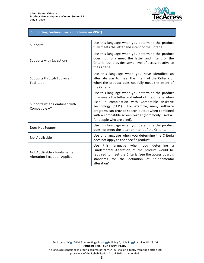

## **Supporting Features (Second Column on VPAT)**

| Supports                                                            | Use this language when you determine the product<br>fully meets the letter and intent of the Criteria.                                                                                                                                                                                                                                              |
|---------------------------------------------------------------------|-----------------------------------------------------------------------------------------------------------------------------------------------------------------------------------------------------------------------------------------------------------------------------------------------------------------------------------------------------|
| Supports with Exceptions                                            | Use this language when you determine the product<br>does not fully meet the letter and intent of the<br>Criteria, but provides some level of access relative to<br>the Criteria.                                                                                                                                                                    |
| Supports through Equivalent<br>Facilitation                         | Use this language when you have identified an<br>alternate way to meet the intent of the Criteria or<br>when the product does not fully meet the intent of<br>the Criteria.                                                                                                                                                                         |
| Supports when Combined with<br>Compatible AT                        | Use this language when you determine the product<br>fully meets the letter and intent of the Criteria when<br>used in combination with Compatible Assistive<br>Technology ("AT"). For example, many software<br>programs can provide speech output when combined<br>with a compatible screen reader (commonly used AT<br>for people who are blind). |
| Does Not Support                                                    | Use this language when you determine the product<br>does not meet the letter or intent of the Criteria.                                                                                                                                                                                                                                             |
| Not Applicable                                                      | Use this language when you determine the Criteria<br>does not apply to the specific product.                                                                                                                                                                                                                                                        |
| Not Applicable - Fundamental<br><b>Alteration Exception Applies</b> | language when you determine<br><b>Use</b><br>this<br>a<br>Fundamental Alteration of the product would be<br>required to meet the Criteria (see the access board's<br>definition of "fundamental<br>standards<br>for the<br>alteration").                                                                                                            |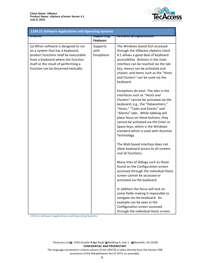

| <b>1194.21 Software Applications and Operating Systems</b>                                                                                                                                                                              |                                           |                                                                                                                                                                                                                                                                                                                                                                                                        |  |
|-----------------------------------------------------------------------------------------------------------------------------------------------------------------------------------------------------------------------------------------|-------------------------------------------|--------------------------------------------------------------------------------------------------------------------------------------------------------------------------------------------------------------------------------------------------------------------------------------------------------------------------------------------------------------------------------------------------------|--|
| पारदाय                                                                                                                                                                                                                                  | <del>उपापरण जन्म</del><br><b>Features</b> | <del>nemurns &amp; Explumations</del>                                                                                                                                                                                                                                                                                                                                                                  |  |
| (a) When software is designed to run<br>on a system that has a keyboard,<br>product functions shall be executable<br>from a keyboard where the function<br>itself or the result of performing a<br>function can be discerned textually. | Supports<br>with<br>Exceptions            | The Windows based GUI accessed<br>through the VMware vSphere client<br>4.1 allows a good deal of keyboard<br>accessibility. Buttons in the main<br>interface can be reached via the tab<br>key, menus can be activated and<br>chosen, and items such as the "Hosts<br>and Clusters" can be used via the<br>keyboard.                                                                                   |  |
|                                                                                                                                                                                                                                         |                                           | Exceptions do exist. The tabs in the<br>interfaces such as "Hosts and<br>Clusters" cannot be activated via the<br>keyboard, e.g., the "Datacenters,"<br>"Hosts," "Tasks and Events" and<br>"Alarms" tabs. While tabbing will<br>place focus on these buttons, they<br>cannot be activated via the Enter or<br>Space keys, which is the Windows<br>standard which is used with Assistive<br>Technology. |  |
|                                                                                                                                                                                                                                         |                                           | The Web based interface does not<br>allow keyboard access to all screens<br>and all functions.                                                                                                                                                                                                                                                                                                         |  |
|                                                                                                                                                                                                                                         |                                           | Many links of dialogs such as those<br>found on the Configuration screen<br>accessed through the individual Hosts<br>screen cannot be accessed or<br>activated via the keyboard.                                                                                                                                                                                                                       |  |
|                                                                                                                                                                                                                                         |                                           | In addition the focus will lock on<br>some fields making it impossible to<br>navigate via the keyboard. An<br>example can be seen in the<br>Configuration screen accessed<br>through the individual Hosts screen.                                                                                                                                                                                      |  |

1194.21 Software Applications and Operating Systems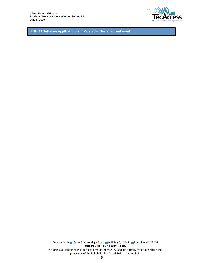

1194.21 Software Applications and Operating Systems, continued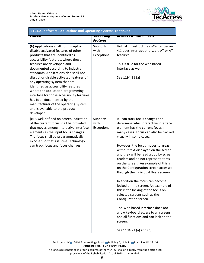

| 1194.21 Software Applications and Operating Systems, continued                                                                                                                                                                                                                                                                                                                                                                                                                                                                                                                                    |                                      |                                                                                                                                                                                                                                                                                                                                                                                                                                                                                                                                                                                                                                                                                                                                                                                                          |  |
|---------------------------------------------------------------------------------------------------------------------------------------------------------------------------------------------------------------------------------------------------------------------------------------------------------------------------------------------------------------------------------------------------------------------------------------------------------------------------------------------------------------------------------------------------------------------------------------------------|--------------------------------------|----------------------------------------------------------------------------------------------------------------------------------------------------------------------------------------------------------------------------------------------------------------------------------------------------------------------------------------------------------------------------------------------------------------------------------------------------------------------------------------------------------------------------------------------------------------------------------------------------------------------------------------------------------------------------------------------------------------------------------------------------------------------------------------------------------|--|
| प्तारसाव                                                                                                                                                                                                                                                                                                                                                                                                                                                                                                                                                                                          | <b>Supporting</b><br><b>Features</b> | <b>Remarks &amp; Explanations</b>                                                                                                                                                                                                                                                                                                                                                                                                                                                                                                                                                                                                                                                                                                                                                                        |  |
| (b) Applications shall not disrupt or<br>disable activated features of other<br>products that are identified as<br>accessibility features, where those<br>features are developed and<br>documented according to industry<br>standards. Applications also shall not<br>disrupt or disable activated features of<br>any operating system that are<br>identified as accessibility features<br>where the application programming<br>interface for those accessibility features<br>has been documented by the<br>manufacturer of the operating system<br>and is available to the product<br>developer. | Supports<br>with<br>Exceptions       | Virtual Infrastructure - vCenter Server<br>4.1 does interrupt or disable AT or AT<br>features.<br>This is true for the web based<br>interface as well.<br>See 1194.21 (a)                                                                                                                                                                                                                                                                                                                                                                                                                                                                                                                                                                                                                                |  |
| (c) A well-defined on-screen indication<br>of the current focus shall be provided<br>that moves among interactive interface<br>elements as the input focus changes.<br>The focus shall be programmatically<br>exposed so that Assistive Technology<br>can track focus and focus changes.                                                                                                                                                                                                                                                                                                          | Supports<br>with<br>Exceptions       | AT can track focus changes and<br>determine what interactive interface<br>element has the current focus in<br>many cases. Focus can also be tracked<br>visually in some cases.<br>However, the focus moves to areas<br>without text displayed on the screen<br>and they will be read aloud by screen<br>readers and do not represent items<br>on the screen. An example of this is<br>on the Configuration screen accessed<br>through the individual Hosts screen.<br>In addition the focus can become<br>locked on the screen. An example of<br>this is the locking of the focus on<br>selected screens such as the<br>Configuration screen.<br>The Web based interface does not<br>allow keyboard access to all screens<br>and all functions and can lock on the<br>screen.<br>See 1194.21 (a) and (b) |  |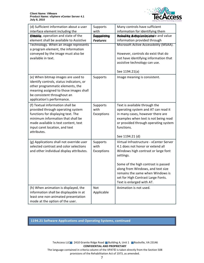

| (d) Sufficient information about a user  | Supports                  | Many controls have sufficient                                            |
|------------------------------------------|---------------------------|--------------------------------------------------------------------------|
| interface element including the          | with                      | information for identifying them                                         |
| Clercity, operation and state of the     | <b><i>Suppotiting</i></b> | Remdite & a Explanationste and value                                     |
| element shall be available to Assistive  | <b>Features</b>           | information provided through                                             |
| Technology. When an image represents     |                           | Microsoft Active Accessibility (MSAA).                                   |
| a program element, the information       |                           |                                                                          |
| conveyed by the image must also be       |                           | However, controls do exist that do                                       |
| available in text.                       |                           | not have identifying information that                                    |
|                                          |                           | assistive technology can use.                                            |
|                                          |                           |                                                                          |
|                                          |                           | See 1194.21(a)                                                           |
| (e) When bitmap images are used to       | Supports                  | Image meaning is consistent.                                             |
| identify controls, status indicators, or |                           |                                                                          |
| other programmatic elements, the         |                           |                                                                          |
| meaning assigned to those images shall   |                           |                                                                          |
| be consistent throughout an              |                           |                                                                          |
| application's performance.               |                           |                                                                          |
| (f) Textual information shall be         | Supports                  | Text is available through the                                            |
| provided through operating system        | with                      | operating system and AT can read it                                      |
| functions for displaying text. The       | Exceptions                | in many cases, however there are                                         |
| minimum information that shall be        |                           | examples when text is not being read                                     |
| made available is text content, text     |                           | or provided through operating system                                     |
| input caret location, and text           |                           | functions.                                                               |
| attributes.                              |                           |                                                                          |
|                                          |                           | See 1194.21 (d)                                                          |
| (g) Applications shall not override user | Supports                  | Virtual Infrastructure - vCenter Server                                  |
| selected contrast and color selections   | with                      | 4.1 does not honor or extend all                                         |
| and other individual display attributes. | Exceptions                | Windows high contrast or large font                                      |
|                                          |                           | settings.                                                                |
|                                          |                           |                                                                          |
|                                          |                           | Some of the high contrast is passed<br>along from Windows, and text size |
|                                          |                           | remains the same when Windows is                                         |
|                                          |                           | set for High Contrast Large Fonts.                                       |
|                                          |                           | Text is enlarged with AT.                                                |
|                                          |                           |                                                                          |
| (h) When animation is displayed, the     | Not                       | Animation is not used.                                                   |
| information shall be displayable in at   | Applicable                |                                                                          |
| least one non-animated presentation      |                           |                                                                          |
| mode at the option of the user.          |                           |                                                                          |

1194.21 Software Applications and Operating Systems, continued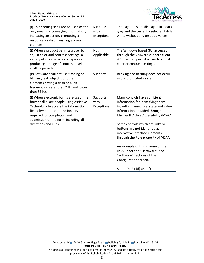

| (i) Color coding shall not be used as the<br>only means of conveying information,<br>indicating an action, prompting a<br>response, or distinguishing a visual<br>element.                                                                                      | Supports<br>with<br>Exceptions | The page tabs are displayed in a dark<br>grey and the currently selected tab is<br>white without any text equivalent.                                                                                                                                                                                                                                                                                                                                                                      |
|-----------------------------------------------------------------------------------------------------------------------------------------------------------------------------------------------------------------------------------------------------------------|--------------------------------|--------------------------------------------------------------------------------------------------------------------------------------------------------------------------------------------------------------------------------------------------------------------------------------------------------------------------------------------------------------------------------------------------------------------------------------------------------------------------------------------|
| (j) When a product permits a user to<br>adjust color and contrast settings, a<br>variety of color selections capable of<br>producing a range of contrast levels<br>shall be provided.                                                                           | Not<br>Applicable              | The Windows based GUI accessed<br>through the VMware vSphere client<br>4.1 does not permit a user to adjust<br>color or contrast settings.                                                                                                                                                                                                                                                                                                                                                 |
| (k) Software shall not use flashing or<br>blinking text, objects, or other<br>elements having a flash or blink<br>frequency greater than 2 Hz and lower<br>than 55 Hz.                                                                                          | Supports                       | Blinking and flashing does not occur<br>in the prohibited range.                                                                                                                                                                                                                                                                                                                                                                                                                           |
| (I) When electronic forms are used, the<br>form shall allow people using Assistive<br>Technology to access the information,<br>field elements, and functionality<br>required for completion and<br>submission of the form, including all<br>directions and cues | Supports<br>with<br>Exceptions | Many controls have sufficient<br>information for identifying them<br>including name, role, state and value<br>information provided through<br>Microsoft Active Accessibility (MSAA).<br>Some controls which are links or<br>buttons are not identified as<br>interactive interface elements<br>through the Role property of MSAA.<br>An example of this is some of the<br>links under the "Hardware" and<br>"Software" sections of the<br>Configuration screen.<br>See 1194.21 (d) and (f) |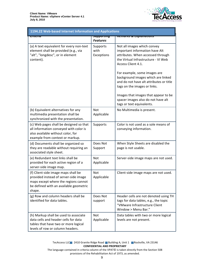

| 1194.22 Web-based Internet Information and Applications                                                                                                                  |                                            |                                                                                                                                                                                                                                                                                                                                                                                                |  |
|--------------------------------------------------------------------------------------------------------------------------------------------------------------------------|--------------------------------------------|------------------------------------------------------------------------------------------------------------------------------------------------------------------------------------------------------------------------------------------------------------------------------------------------------------------------------------------------------------------------------------------------|--|
| जाप्ताप                                                                                                                                                                  | <del>उपप्रपण जापु</del><br><b>Features</b> | nemurks & Explanations                                                                                                                                                                                                                                                                                                                                                                         |  |
| (a) A text equivalent for every non-text<br>element shall be provided (e.g., via<br>"alt", "longdesc", or in element<br>content).                                        | Supports<br>with<br>Exceptions             | Not all images which convey<br>important information have Alt<br>attributes. When accessed through<br>the Virtual Infrastructure - VI Web<br>Access Client 4.1.<br>For example, some images are<br>background images which are linked<br>and do not have alt attributes or title<br>tags on the images or links.<br>Images that images that appear to be<br>spacer images also do not have alt |  |
| (b) Equivalent alternatives for any<br>multimedia presentation shall be<br>synchronized with the presentation.                                                           | <b>Not</b><br>Applicable                   | tags or text equivalents.<br>No Multimedia is present.                                                                                                                                                                                                                                                                                                                                         |  |
| (c) Web pages shall be designed so that<br>all information conveyed with color is<br>also available without color, for<br>example from context or markup.                | Supports                                   | Color is not used as a sole means of<br>conveying information.                                                                                                                                                                                                                                                                                                                                 |  |
| (d) Documents shall be organized so<br>they are readable without requiring an<br>associated style sheet.                                                                 | Does Not<br>Support                        | When Style Sheets are disabled the<br>page is not usable.                                                                                                                                                                                                                                                                                                                                      |  |
| (e) Redundant text links shall be<br>provided for each active region of a<br>server-side image map.                                                                      | Not<br>Applicable                          | Server-side image maps are not used.                                                                                                                                                                                                                                                                                                                                                           |  |
| (f) Client-side image maps shall be<br>provided instead of server-side image<br>maps except where the regions cannot<br>be defined with an available geometric<br>shape. | Not<br>Applicable                          | Client-side image maps are not used.                                                                                                                                                                                                                                                                                                                                                           |  |
| (g) Row and column headers shall be<br>identified for data tables.                                                                                                       | Does Not<br>support                        | Header cells are not denoted using TH<br>tags for data tables, e.g., the topic<br>"VMware Infrastructure Client<br>Window > Menu Bar."                                                                                                                                                                                                                                                         |  |
| (h) Markup shall be used to associate<br>data cells and header cells for data<br>tables that have two or more logical<br>levels of row or column headers.                | <b>Not</b><br>Applicable                   | Data tables with two or more logical<br>levels are not present.                                                                                                                                                                                                                                                                                                                                |  |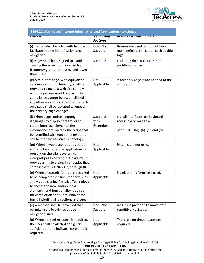

| 1194.22 Web-based Internet Information and Applications, continued                                                                                                                                                                                                                                                     |                                   |                                                                                                 |  |
|------------------------------------------------------------------------------------------------------------------------------------------------------------------------------------------------------------------------------------------------------------------------------------------------------------------------|-----------------------------------|-------------------------------------------------------------------------------------------------|--|
| जारजाप                                                                                                                                                                                                                                                                                                                 | ज्याप्राण्यसम्<br><b>Features</b> | <del>ncmurns a Explumutions</del>                                                               |  |
| (i) Frames shall be titled with text that<br>facilitates frame identification and<br>navigation.                                                                                                                                                                                                                       | Does Not<br>Support               | Iframes are used but do not have<br>meaningful identification such as title<br>tags.            |  |
| (j) Pages shall be designed to avoid<br>causing the screen to flicker with a<br>frequency greater than 2 Hz and lower<br>than 55 Hz.                                                                                                                                                                                   | Supports                          | Flickering does not occur in the<br>prohibited range.                                           |  |
| (k) A text-only page, with equivalent<br>information or functionality, shall be<br>provided to make a web site comply<br>with the provisions of this part, when<br>compliance cannot be accomplished in<br>any other way. The content of the text-<br>only page shall be updated whenever<br>the primary page changes. | Not<br>Applicable                 | A text only page is not needed to the<br>application.                                           |  |
| (I) When pages utilize scripting<br>languages to display content, or to<br>create interface elements, the<br>information provided by the script shall<br>be identified with functional text that<br>can be read by Assistive Technology.                                                                               | Supports<br>with<br>Exceptions    | Not all Interfaces are keyboard<br>accessible or readable.<br>See 1194.21(a), (b), (c), and (d) |  |
| (m) When a web page requires that an<br>applet, plug-in or other application be<br>present on the client system to<br>interpret page content, the page must<br>provide a link to a plug-in or applet that<br>complies with §1194.21(a) through (I).                                                                    | <b>Not</b><br>Applicable          | Plug-ins are not used.                                                                          |  |
| (n) When electronic forms are designed<br>to be completed on-line, the form shall<br>allow people using Assistive Technology<br>to access the information, field<br>elements, and functionality required<br>for completion and submission of the<br>form, including all directions and cues.                           | Not<br>Applicable                 | No electronic forms are used.                                                                   |  |
| (o) A method shall be provided that<br>permits users to skip repetitive<br>navigation links.                                                                                                                                                                                                                           | Does Not<br>Support               | No Link is provided to move over<br>repetitive Navigation.                                      |  |
| (p) When a timed response is required,<br>the user shall be alerted and given<br>sufficient time to indicate more time is<br>required.                                                                                                                                                                                 | Not<br>Applicable                 | There are no timed responses<br>required.                                                       |  |

TecAccess LLC 2410 Granite Ridge Road Building A, Unit 1 Rockville, VA 23146 **CONFIDENTIAL AND PROPRIETARY** 

The language contained in criteria column of the VPAT© is taken directly from the Section 508 provisions of the Rehabilitation Act of 1973, as amended.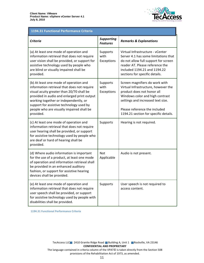

## 1194.31 Functional Performance Criteria

| <b>Criteria</b>                                                                                                                                                                                                                                                                                                                  | <b>Supporting</b><br><b>Features</b> | <b>Remarks &amp; Explanations</b>                                                                                                                                                                                                                     |
|----------------------------------------------------------------------------------------------------------------------------------------------------------------------------------------------------------------------------------------------------------------------------------------------------------------------------------|--------------------------------------|-------------------------------------------------------------------------------------------------------------------------------------------------------------------------------------------------------------------------------------------------------|
| (a) At least one mode of operation and<br>information retrieval that does not require<br>user vision shall be provided, or support for<br>assistive technology used by people who<br>are blind or visually impaired shall be<br>provided.                                                                                        | Supports<br>with<br>Exceptions       | Virtual Infrastructure - vCenter<br>Server 4.1 has some limitations that<br>do not allow full support for screen<br>reader AT. Please reference the<br>included 1194.21 and 1194.22<br>sections for specific details.                                 |
| (b) At least one mode of operation and<br>information retrieval that does not require<br>visual acuity greater than 20/70 shall be<br>provided in audio and enlarged print output<br>working together or independently, or<br>support for assistive technology used by<br>people who are visually impaired shall be<br>provided. | Supports<br>with<br>Exceptions       | Screen magnifiers do work with<br>Virtual Infrastructure, however the<br>product does not honor all<br>Windows color and high contrast<br>settings and increased text size.<br>Please reference the included<br>1194.21 section for specific details. |
| (c) At least one mode of operation and<br>information retrieval that does not require<br>user hearing shall be provided, or support<br>for assistive technology used by people who<br>are deaf or hard of hearing shall be<br>provided.                                                                                          | Supports                             | Hearing is not required.                                                                                                                                                                                                                              |
| (d) Where audio information is important<br>for the use of a product, at least one mode<br>of operation and information retrieval shall<br>be provided in an enhanced auditory<br>fashion, or support for assistive hearing<br>devices shall be provided.                                                                        | <b>Not</b><br>Applicable             | Audio is not present.                                                                                                                                                                                                                                 |
| (e) At least one mode of operation and<br>information retrieval that does not require<br>user speech shall be provided, or support<br>for assistive technology used by people with<br>disabilities shall be provided.                                                                                                            | Supports                             | User speech is not required to<br>access content.                                                                                                                                                                                                     |

1194.31 Functional Performance Criteria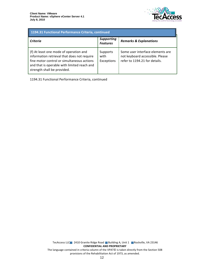

| 1194.31 Functional Performance Criteria, continued                                                                                                                                                                |                                      |                                                                                                      |
|-------------------------------------------------------------------------------------------------------------------------------------------------------------------------------------------------------------------|--------------------------------------|------------------------------------------------------------------------------------------------------|
| <b>Criteria</b>                                                                                                                                                                                                   | <b>Supporting</b><br><b>Features</b> | <b>Remarks &amp; Explanations</b>                                                                    |
| (f) At least one mode of operation and<br>information retrieval that does not require<br>fine motor control or simultaneous actions<br>and that is operable with limited reach and<br>strength shall be provided. | Supports<br>with<br>Exceptions       | Some user interface elements are<br>not keyboard accessible. Please<br>refer to 1194.21 for details. |

1194.31 Functional Performance Criteria, continued